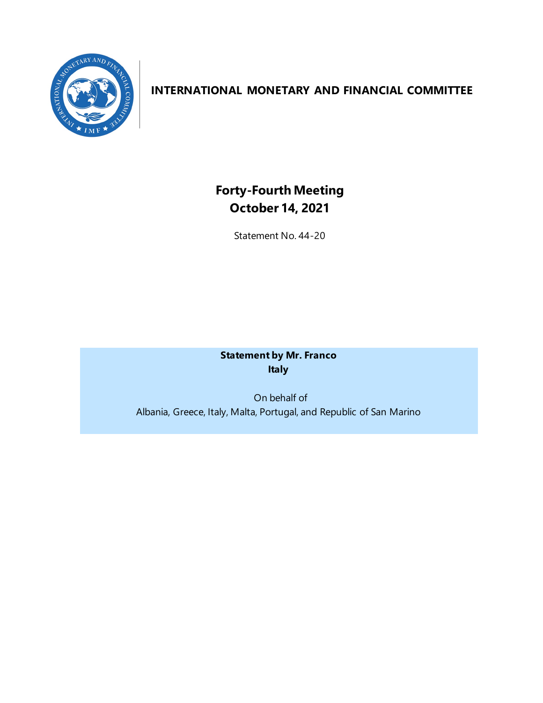

## **INTERNATIONAL MONETARY AND FINANCIAL COMMITTEE**

## **Forty-Fourth Meeting October 14, 2021**

Statement No. 44-20

**Statement by Mr. Franco Italy**

On behalf of Albania, Greece, Italy, Malta, Portugal, and Republic of San Marino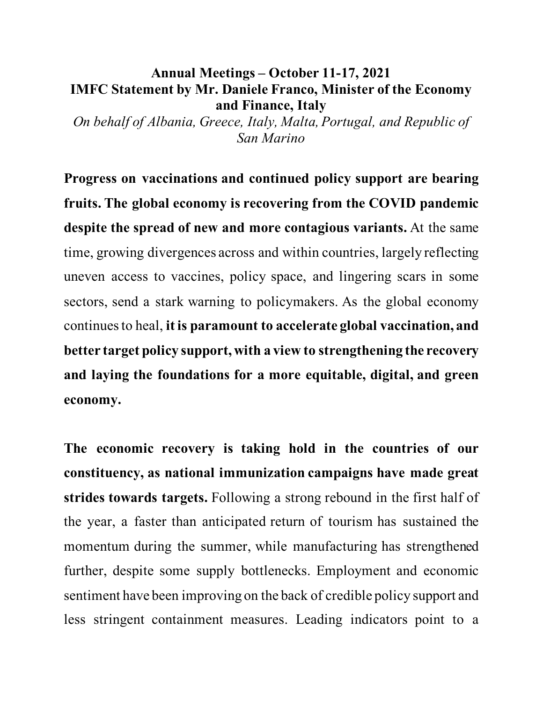## **Annual Meetings – October 11-17, 2021 IMFC Statement by Mr. Daniele Franco, Minister of the Economy and Finance, Italy**

*On behalf of Albania, Greece, Italy, Malta, Portugal, and Republic of San Marino* 

**Progress on vaccinations and continued policy support are bearing fruits. The global economy is recovering from the COVID pandemic despite the spread of new and more contagious variants.** At the same time, growing divergences across and within countries, largely reflecting uneven access to vaccines, policy space, and lingering scars in some sectors, send a stark warning to policymakers. As the global economy continues to heal, **it is paramount to accelerate global vaccination, and better target policy support, with a view to strengthening the recovery and laying the foundations for a more equitable, digital, and green economy.**

**The economic recovery is taking hold in the countries of our constituency, as national immunization campaigns have made great strides towards targets.** Following a strong rebound in the first half of the year, a faster than anticipated return of tourism has sustained the momentum during the summer, while manufacturing has strengthened further, despite some supply bottlenecks. Employment and economic sentiment have been improving on the back of credible policy support and less stringent containment measures. Leading indicators point to a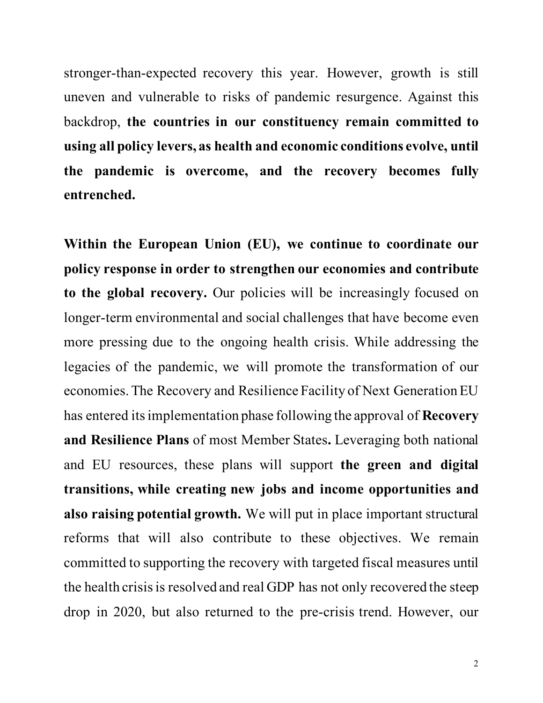stronger-than-expected recovery this year. However, growth is still uneven and vulnerable to risks of pandemic resurgence. Against this backdrop, **the countries in our constituency remain committed to using all policy levers, as health and economic conditions evolve, until the pandemic is overcome, and the recovery becomes fully entrenched.**

**Within the European Union (EU), we continue to coordinate our policy response in order to strengthen our economies and contribute to the global recovery.** Our policies will be increasingly focused on longer-term environmental and social challenges that have become even more pressing due to the ongoing health crisis. While addressing the legacies of the pandemic, we will promote the transformation of our economies. The Recovery and Resilience Facility of Next Generation EU has entered itsimplementation phase following the approval of **Recovery and Resilience Plans** of most Member States**.** Leveraging both national and EU resources, these plans will support **the green and digital transitions, while creating new jobs and income opportunities and also raising potential growth.** We will put in place important structural reforms that will also contribute to these objectives. We remain committed to supporting the recovery with targeted fiscal measures until the health crisis is resolved and real GDP has not only recovered the steep drop in 2020, but also returned to the pre-crisis trend. However, our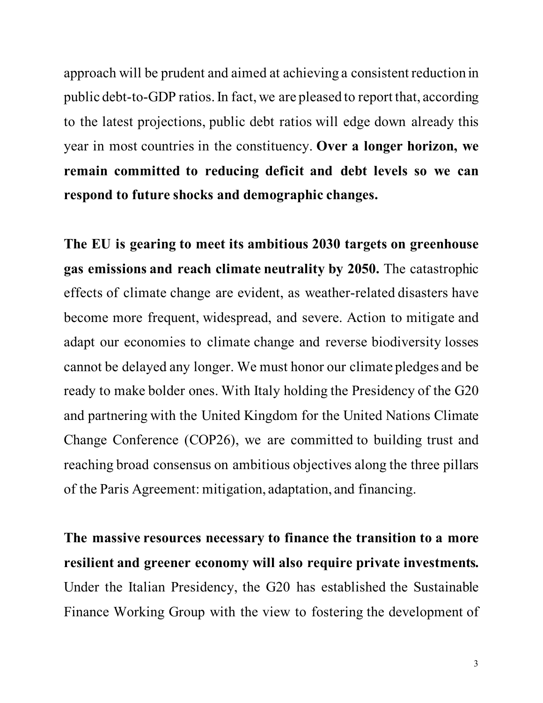approach will be prudent and aimed at achieving a consistent reduction in public debt-to-GDP ratios. In fact, we are pleased to report that, according to the latest projections, public debt ratios will edge down already this year in most countries in the constituency. **Over a longer horizon, we remain committed to reducing deficit and debt levels so we can respond to future shocks and demographic changes.**

**The EU is gearing to meet its ambitious 2030 targets on greenhouse gas emissions and reach climate neutrality by 2050.** The catastrophic effects of climate change are evident, as weather-related disasters have become more frequent, widespread, and severe. Action to mitigate and adapt our economies to climate change and reverse biodiversity losses cannot be delayed any longer. We must honor our climate pledges and be ready to make bolder ones. With Italy holding the Presidency of the G20 and partnering with the United Kingdom for the United Nations Climate Change Conference (COP26), we are committed to building trust and reaching broad consensus on ambitious objectives along the three pillars of the Paris Agreement: mitigation, adaptation, and financing.

**The massive resources necessary to finance the transition to a more resilient and greener economy will also require private investments.**  Under the Italian Presidency, the G20 has established the Sustainable Finance Working Group with the view to fostering the development of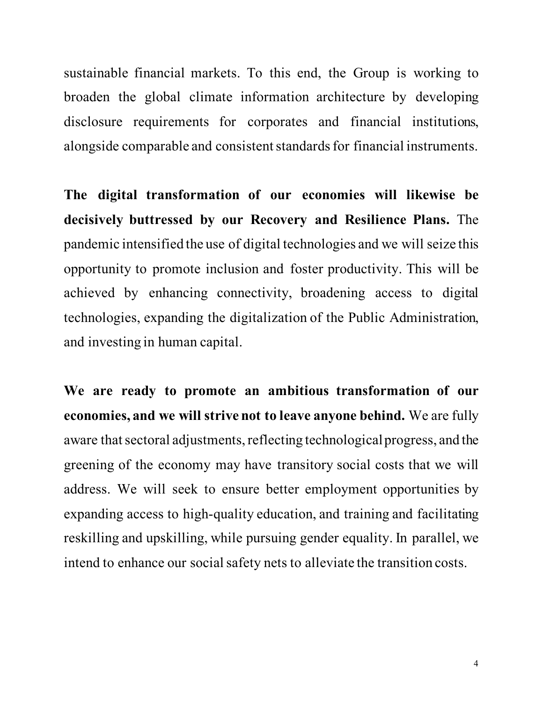sustainable financial markets. To this end, the Group is working to broaden the global climate information architecture by developing disclosure requirements for corporates and financial institutions, alongside comparable and consistent standards for financial instruments.

**The digital transformation of our economies will likewise be decisively buttressed by our Recovery and Resilience Plans.** The pandemic intensified the use of digital technologies and we will seize this opportunity to promote inclusion and foster productivity. This will be achieved by enhancing connectivity, broadening access to digital technologies, expanding the digitalization of the Public Administration, and investing in human capital.

**We are ready to promote an ambitious transformation of our economies, and we will strive not to leave anyone behind.** We are fully aware that sectoral adjustments, reflecting technological progress, and the greening of the economy may have transitory social costs that we will address. We will seek to ensure better employment opportunities by expanding access to high-quality education, and training and facilitating reskilling and upskilling, while pursuing gender equality. In parallel, we intend to enhance our social safety nets to alleviate the transition costs.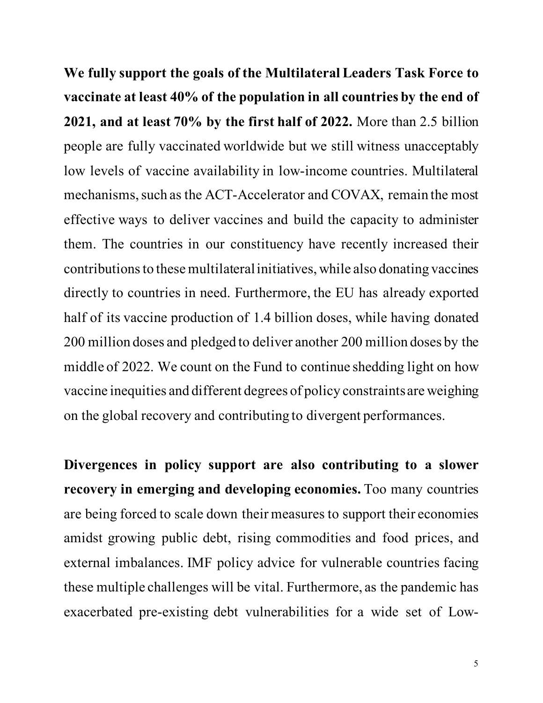**We fully support the goals of the Multilateral Leaders Task Force to vaccinate at least 40% of the population in all countries by the end of 2021, and at least 70% by the first half of 2022.** More than 2.5 billion people are fully vaccinated worldwide but we still witness unacceptably low levels of vaccine availability in low-income countries. Multilateral mechanisms, such as the ACT-Accelerator and COVAX, remain the most effective ways to deliver vaccines and build the capacity to administer them. The countries in our constituency have recently increased their contributions to these multilateral initiatives, while also donating vaccines directly to countries in need. Furthermore, the EU has already exported half of its vaccine production of 1.4 billion doses, while having donated 200 million doses and pledged to deliver another 200 million doses by the middle of 2022. We count on the Fund to continue shedding light on how vaccine inequities and different degrees of policy constraints are weighing on the global recovery and contributing to divergent performances.

**Divergences in policy support are also contributing to a slower recovery in emerging and developing economies.** Too many countries are being forced to scale down their measures to support their economies amidst growing public debt, rising commodities and food prices, and external imbalances. IMF policy advice for vulnerable countries facing these multiple challenges will be vital. Furthermore, as the pandemic has exacerbated pre-existing debt vulnerabilities for a wide set of Low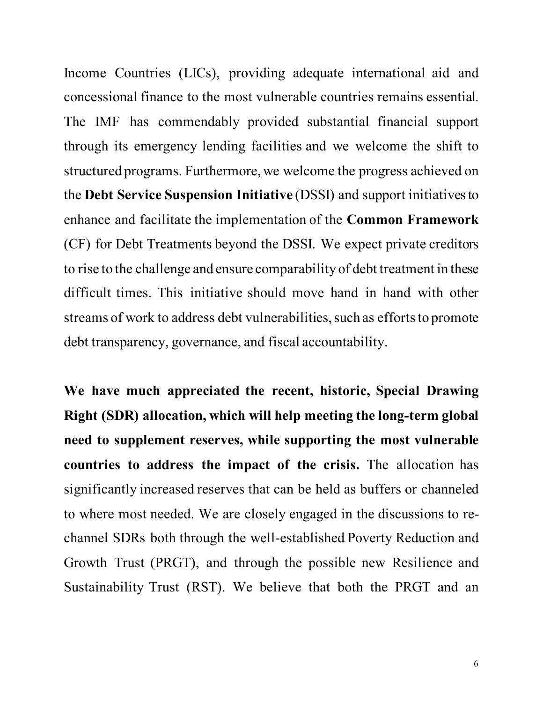Income Countries (LICs), providing adequate international aid and concessional finance to the most vulnerable countries remains essential. The IMF has commendably provided substantial financial support through its emergency lending facilities and we welcome the shift to structured programs. Furthermore, we welcome the progress achieved on the **Debt Service Suspension Initiative** (DSSI) and support initiatives to enhance and facilitate the implementation of the **Common Framework** (CF) for Debt Treatments beyond the DSSI. We expect private creditors to rise to the challenge and ensure comparability of debt treatment in these difficult times. This initiative should move hand in hand with other streams of work to address debt vulnerabilities, such as efforts to promote debt transparency, governance, and fiscal accountability.

**We have much appreciated the recent, historic, Special Drawing Right (SDR) allocation, which will help meeting the long-term global need to supplement reserves, while supporting the most vulnerable countries to address the impact of the crisis.** The allocation has significantly increased reserves that can be held as buffers or channeled to where most needed. We are closely engaged in the discussions to rechannel SDRs both through the well-established Poverty Reduction and Growth Trust (PRGT), and through the possible new Resilience and Sustainability Trust (RST). We believe that both the PRGT and an